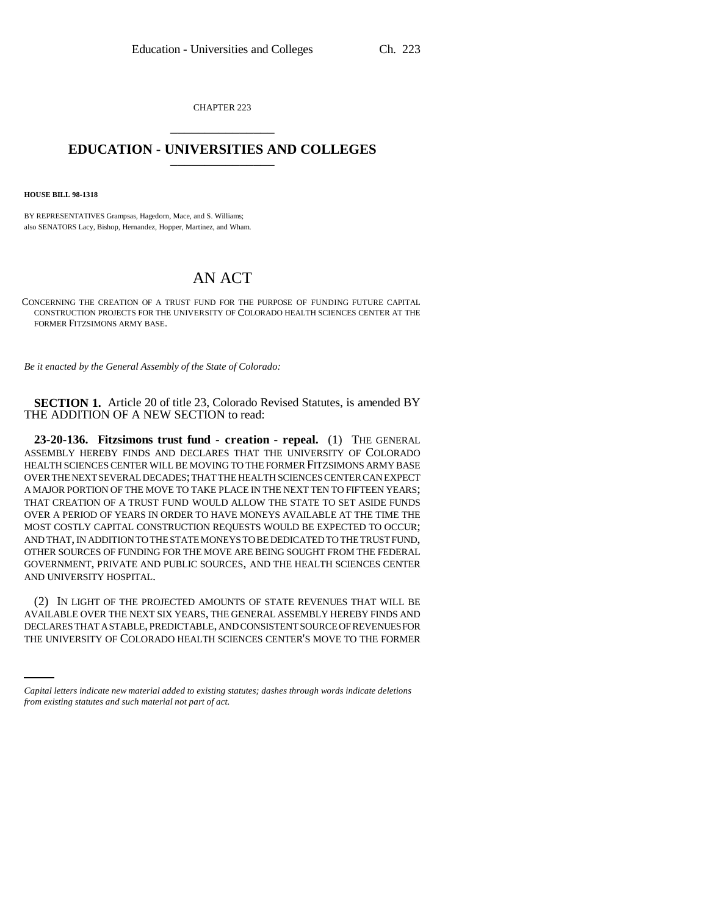CHAPTER 223 \_\_\_\_\_\_\_\_\_\_\_\_\_\_\_

## **EDUCATION - UNIVERSITIES AND COLLEGES** \_\_\_\_\_\_\_\_\_\_\_\_\_\_\_

**HOUSE BILL 98-1318**

BY REPRESENTATIVES Grampsas, Hagedorn, Mace, and S. Williams; also SENATORS Lacy, Bishop, Hernandez, Hopper, Martinez, and Wham.

## AN ACT

CONCERNING THE CREATION OF A TRUST FUND FOR THE PURPOSE OF FUNDING FUTURE CAPITAL CONSTRUCTION PROJECTS FOR THE UNIVERSITY OF COLORADO HEALTH SCIENCES CENTER AT THE FORMER FITZSIMONS ARMY BASE.

*Be it enacted by the General Assembly of the State of Colorado:*

**SECTION 1.** Article 20 of title 23, Colorado Revised Statutes, is amended BY THE ADDITION OF A NEW SECTION to read:

**23-20-136. Fitzsimons trust fund - creation - repeal.** (1) THE GENERAL ASSEMBLY HEREBY FINDS AND DECLARES THAT THE UNIVERSITY OF COLORADO HEALTH SCIENCES CENTER WILL BE MOVING TO THE FORMER FITZSIMONS ARMY BASE OVER THE NEXT SEVERAL DECADES; THAT THE HEALTH SCIENCES CENTER CAN EXPECT A MAJOR PORTION OF THE MOVE TO TAKE PLACE IN THE NEXT TEN TO FIFTEEN YEARS; THAT CREATION OF A TRUST FUND WOULD ALLOW THE STATE TO SET ASIDE FUNDS OVER A PERIOD OF YEARS IN ORDER TO HAVE MONEYS AVAILABLE AT THE TIME THE MOST COSTLY CAPITAL CONSTRUCTION REQUESTS WOULD BE EXPECTED TO OCCUR; AND THAT, IN ADDITION TO THE STATE MONEYS TO BE DEDICATED TO THE TRUST FUND, OTHER SOURCES OF FUNDING FOR THE MOVE ARE BEING SOUGHT FROM THE FEDERAL GOVERNMENT, PRIVATE AND PUBLIC SOURCES, AND THE HEALTH SCIENCES CENTER AND UNIVERSITY HOSPITAL.

AVAILABLE OVER THE NEXT SIX YEARS, THE GENERAL ASSEMBLY HEREBY FINDS AND  $\overline{P}$ (2) IN LIGHT OF THE PROJECTED AMOUNTS OF STATE REVENUES THAT WILL BE DECLARES THAT A STABLE, PREDICTABLE, AND CONSISTENT SOURCE OF REVENUES FOR THE UNIVERSITY OF COLORADO HEALTH SCIENCES CENTER'S MOVE TO THE FORMER

*Capital letters indicate new material added to existing statutes; dashes through words indicate deletions from existing statutes and such material not part of act.*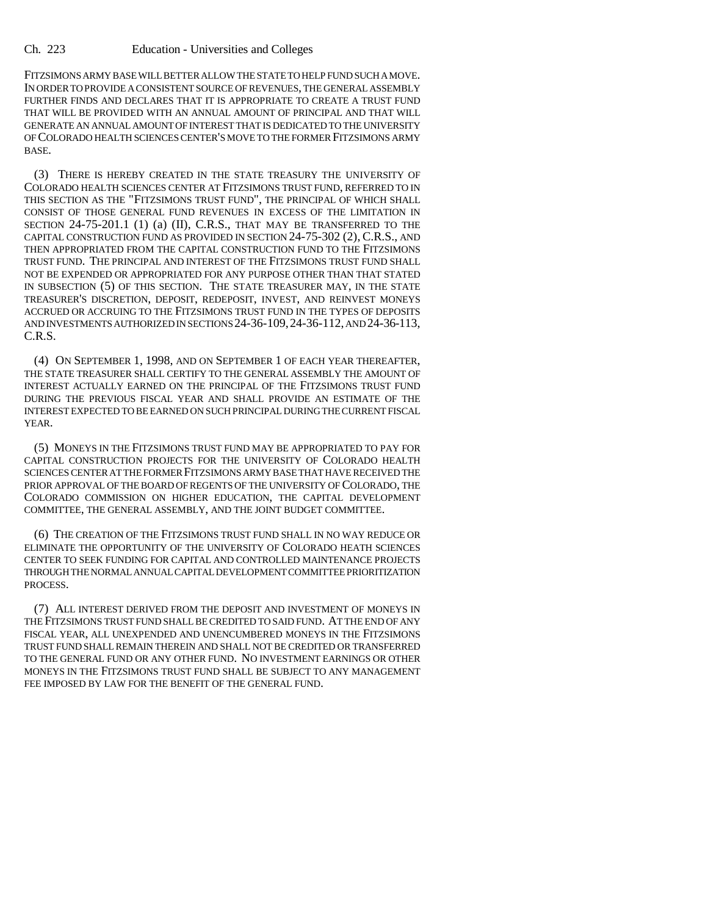FITZSIMONS ARMY BASE WILL BETTER ALLOW THE STATE TO HELP FUND SUCH A MOVE. IN ORDER TO PROVIDE A CONSISTENT SOURCE OF REVENUES, THE GENERAL ASSEMBLY FURTHER FINDS AND DECLARES THAT IT IS APPROPRIATE TO CREATE A TRUST FUND THAT WILL BE PROVIDED WITH AN ANNUAL AMOUNT OF PRINCIPAL AND THAT WILL GENERATE AN ANNUAL AMOUNT OF INTEREST THAT IS DEDICATED TO THE UNIVERSITY OF COLORADO HEALTH SCIENCES CENTER'S MOVE TO THE FORMER FITZSIMONS ARMY BASE.

(3) THERE IS HEREBY CREATED IN THE STATE TREASURY THE UNIVERSITY OF COLORADO HEALTH SCIENCES CENTER AT FITZSIMONS TRUST FUND, REFERRED TO IN THIS SECTION AS THE "FITZSIMONS TRUST FUND", THE PRINCIPAL OF WHICH SHALL CONSIST OF THOSE GENERAL FUND REVENUES IN EXCESS OF THE LIMITATION IN SECTION 24-75-201.1 (1) (a) (II), C.R.S., THAT MAY BE TRANSFERRED TO THE CAPITAL CONSTRUCTION FUND AS PROVIDED IN SECTION 24-75-302 (2), C.R.S., AND THEN APPROPRIATED FROM THE CAPITAL CONSTRUCTION FUND TO THE FITZSIMONS TRUST FUND. THE PRINCIPAL AND INTEREST OF THE FITZSIMONS TRUST FUND SHALL NOT BE EXPENDED OR APPROPRIATED FOR ANY PURPOSE OTHER THAN THAT STATED IN SUBSECTION (5) OF THIS SECTION. THE STATE TREASURER MAY, IN THE STATE TREASURER'S DISCRETION, DEPOSIT, REDEPOSIT, INVEST, AND REINVEST MONEYS ACCRUED OR ACCRUING TO THE FITZSIMONS TRUST FUND IN THE TYPES OF DEPOSITS AND INVESTMENTS AUTHORIZED IN SECTIONS 24-36-109,24-36-112, AND 24-36-113, C.R.S.

(4) ON SEPTEMBER 1, 1998, AND ON SEPTEMBER 1 OF EACH YEAR THEREAFTER, THE STATE TREASURER SHALL CERTIFY TO THE GENERAL ASSEMBLY THE AMOUNT OF INTEREST ACTUALLY EARNED ON THE PRINCIPAL OF THE FITZSIMONS TRUST FUND DURING THE PREVIOUS FISCAL YEAR AND SHALL PROVIDE AN ESTIMATE OF THE INTEREST EXPECTED TO BE EARNED ON SUCH PRINCIPAL DURING THE CURRENT FISCAL YEAR.

(5) MONEYS IN THE FITZSIMONS TRUST FUND MAY BE APPROPRIATED TO PAY FOR CAPITAL CONSTRUCTION PROJECTS FOR THE UNIVERSITY OF COLORADO HEALTH SCIENCES CENTER AT THE FORMER FITZSIMONS ARMY BASE THAT HAVE RECEIVED THE PRIOR APPROVAL OF THE BOARD OF REGENTS OF THE UNIVERSITY OF COLORADO, THE COLORADO COMMISSION ON HIGHER EDUCATION, THE CAPITAL DEVELOPMENT COMMITTEE, THE GENERAL ASSEMBLY, AND THE JOINT BUDGET COMMITTEE.

(6) THE CREATION OF THE FITZSIMONS TRUST FUND SHALL IN NO WAY REDUCE OR ELIMINATE THE OPPORTUNITY OF THE UNIVERSITY OF COLORADO HEATH SCIENCES CENTER TO SEEK FUNDING FOR CAPITAL AND CONTROLLED MAINTENANCE PROJECTS THROUGH THE NORMAL ANNUAL CAPITAL DEVELOPMENT COMMITTEE PRIORITIZATION PROCESS.

(7) ALL INTEREST DERIVED FROM THE DEPOSIT AND INVESTMENT OF MONEYS IN THE FITZSIMONS TRUST FUND SHALL BE CREDITED TO SAID FUND. AT THE END OF ANY FISCAL YEAR, ALL UNEXPENDED AND UNENCUMBERED MONEYS IN THE FITZSIMONS TRUST FUND SHALL REMAIN THEREIN AND SHALL NOT BE CREDITED OR TRANSFERRED TO THE GENERAL FUND OR ANY OTHER FUND. NO INVESTMENT EARNINGS OR OTHER MONEYS IN THE FITZSIMONS TRUST FUND SHALL BE SUBJECT TO ANY MANAGEMENT FEE IMPOSED BY LAW FOR THE BENEFIT OF THE GENERAL FUND.